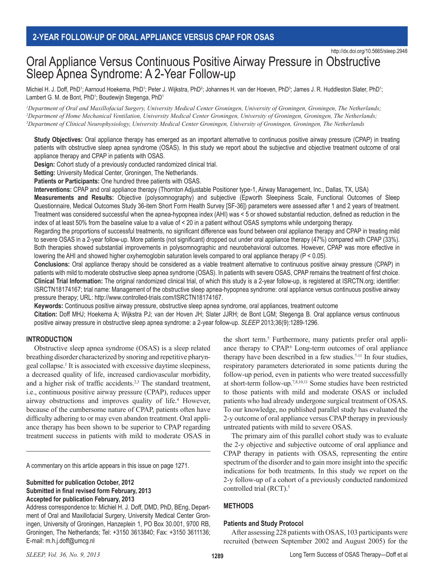# Oral Appliance Versus Continuous Positive Airway Pressure in Obstructive Sleep Apnea Syndrome: A 2-Year Follow-up

Michiel H. J. Doff, PhD1; Aarnoud Hoekema, PhD1; Peter J. Wijkstra, PhD<sup>2</sup>; Johannes H. van der Hoeven, PhD<sup>3</sup>; James J. R. Huddleston Slater, PhD1; Lambert G. M. de Bont, PhD<sup>1</sup>; Boudewijn Stegenga, PhD<sup>1</sup>

*1 Department of Oral and Maxillofacial Surgery, University Medical Center Groningen, University of Groningen, Groningen, The Netherlands; 2 Department of Home Mechanical Ventilation, University Medical Center Groningen, University of Groningen, Groningen, The Netherlands; 3 Department of Clinical Neurophysiology, University Medical Center Groningen, University of Groningen, Groningen, The Netherlands*

**Study Objectives:** Oral appliance therapy has emerged as an important alternative to continuous positive airway pressure (CPAP) in treating patients with obstructive sleep apnea syndrome (OSAS). In this study we report about the subjective and objective treatment outcome of oral appliance therapy and CPAP in patients with OSAS.

**Design:** Cohort study of a previously conducted randomized clinical trial.

**Setting:** University Medical Center, Groningen, The Netherlands.

**Patients or Participants:** One hundred three patients with OSAS.

**Interventions:** CPAP and oral appliance therapy (Thornton Adjustable Positioner type-1, Airway Management, Inc., Dallas, TX, USA)

**Measurements and Results:** Objective (polysomnography) and subjective (Epworth Sleepiness Scale, Functional Outcomes of Sleep Questionnaire, Medical Outcomes Study 36-item Short Form Health Survey [SF-36]) parameters were assessed after 1 and 2 years of treatment. Treatment was considered successful when the apnea-hypopnea index (AHI) was < 5 or showed substantial reduction, defned as reduction in the index of at least 50% from the baseline value to a value of < 20 in a patient without OSAS symptoms while undergoing therapy.

Regarding the proportions of successful treatments, no signifcant difference was found between oral appliance therapy and CPAP in treating mild to severe OSAS in a 2-year follow-up. More patients (not signifcant) dropped out under oral appliance therapy (47%) compared with CPAP (33%). Both therapies showed substantial improvements in polysomnographic and neurobehavioral outcomes. However, CPAP was more effective in lowering the AHI and showed higher oxyhemoglobin saturation levels compared to oral appliance therapy (P < 0.05).

**Conclusions:** Oral appliance therapy should be considered as a viable treatment alternative to continuous positive airway pressure (CPAP) in patients with mild to moderate obstructive sleep apnea syndrome (OSAS). In patients with severe OSAS, CPAP remains the treatment of frst choice. **Clinical Trial Information:** The original randomized clinical trial, of which this study is a 2-year follow-up, is registered at ISRCTN.org; identifer: ISRCTN18174167; trial name: Management of the obstructive sleep apnea-hypopnea syndrome: oral appliance versus continuous positive airway pressure therapy; URL: http://www.controlled-trials.com/ISRCTN18174167.

**Keywords:** Continuous positive airway pressure, obstructive sleep apnea syndrome, oral appliances, treatment outcome

**Citation:** Doff MHJ; Hoekema A; Wijkstra PJ; van der Hoven JH; Slater JJRH; de Bont LGM; Stegenga B. Oral appliance versus continuous positive airway pressure in obstructive sleep apnea syndrome: a 2-year follow-up. *SLEEP* 2013;36(9):1289-1296.

### **INTRODUCTION**

Obstructive sleep apnea syndrome (OSAS) is a sleep related breathing disorder characterized by snoring and repetitive pharyngeal collapse.<sup>1</sup> It is associated with excessive daytime sleepiness, a decreased quality of life, increased cardiovascular morbidity, and a higher risk of traffic accidents.<sup>2,3</sup> The standard treatment, i.e., continuous positive airway pressure (CPAP), reduces upper airway obstructions and improves quality of life.<sup>4</sup> However, because of the cumbersome nature of CPAP, patients often have difficulty adhering to or may even abandon treatment. Oral appliance therapy has been shown to be superior to CPAP regarding treatment success in patients with mild to moderate OSAS in

A commentary on this article appears in this issue on page 1271.

# **Submitted for publication October, 2012 Submitted in fnal revised form February, 2013 Accepted for publication February, 2013**

Address correspondence to: Michiel H. J. Doff, DMD, PhD, BEng, Department of Oral and Maxillofacial Surgery, University Medical Center Groningen, University of Groningen, Hanzeplein 1, PO Box 30.001, 9700 RB, Groningen, The Netherlands; Tel: +3150 3613840; Fax: +3150 3611136; E-mail: m.h.j.doff@umcg.nl

the short term.<sup>5</sup> Furthermore, many patients prefer oral appliance therapy to CPAP.<sup>6</sup> Long-term outcomes of oral appliance therapy have been described in a few studies.<sup>7-11</sup> In four studies, respiratory parameters deteriorated in some patients during the follow-up period, even in patients who were treated successfully at short-term follow-up.7,8,10,11 Some studies have been restricted to those patients with mild and moderate OSAS or included patients who had already undergone surgical treatment of OSAS. To our knowledge, no published parallel study has evaluated the 2-y outcome of oral appliance versus CPAP therapy in previously untreated patients with mild to severe OSAS.

The primary aim of this parallel cohort study was to evaluate the 2-y objective and subjective outcome of oral appliance and CPAP therapy in patients with OSAS, representing the entire spectrum of the disorder and to gain more insight into the specifc indications for both treatments. In this study we report on the 2-y follow-up of a cohort of a previously conducted randomized controlled trial (RCT).<sup>5</sup>

# **METHODS**

### **Patients and Study Protocol**

After assessing 228 patients with OSAS, 103 participants were recruited (between September 2002 and August 2005) for the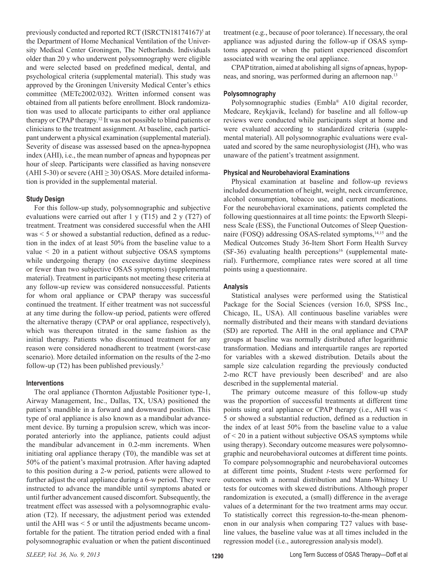previously conducted and reported RCT (ISRCTN18174167)<sup>5</sup> at the Department of Home Mechanical Ventilation of the University Medical Center Groningen, The Netherlands. Individuals older than 20 y who underwent polysomnography were eligible and were selected based on predefned medical, dental, and psychological criteria (supplemental material). This study was approved by the Groningen University Medical Center's ethics committee (METc2002/032). Written informed consent was obtained from all patients before enrollment. Block randomization was used to allocate participants to either oral appliance therapy or CPAP therapy.12 It was not possible to blind patients or clinicians to the treatment assignment. At baseline, each participant underwent a physical examination (supplemental material). Severity of disease was assessed based on the apnea-hypopnea index (AHI), i.e., the mean number of apneas and hypopneas per hour of sleep. Participants were classifed as having nonsevere (AHI 5-30) or severe (AHI  $\geq$  30) OSAS. More detailed information is provided in the supplemental material.

### **Study Design**

For this follow-up study, polysomnographic and subjective evaluations were carried out after 1 y  $(T15)$  and 2 y  $(T27)$  of treatment. Treatment was considered successful when the AHI was < 5 or showed a substantial reduction, defned as a reduction in the index of at least 50% from the baseline value to a value < 20 in a patient without subjective OSAS symptoms while undergoing therapy (no excessive daytime sleepiness or fewer than two subjective OSAS symptoms) (supplemental material). Treatment in participants not meeting these criteria at any follow-up review was considered nonsuccessful. Patients for whom oral appliance or CPAP therapy was successful continued the treatment. If either treatment was not successful at any time during the follow-up period, patients were offered the alternative therapy (CPAP or oral appliance, respectively), which was thereupon titrated in the same fashion as the initial therapy. Patients who discontinued treatment for any reason were considered nonadherent to treatment (worst-case scenario). More detailed information on the results of the 2-mo follow-up (T2) has been published previously.<sup>5</sup>

#### **Interventions**

The oral appliance (Thornton Adjustable Positioner type-1, Airway Management, Inc., Dallas, TX, USA) positioned the patient's mandible in a forward and downward position. This type of oral appliance is also known as a mandibular advancement device. By turning a propulsion screw, which was incorporated anteriorly into the appliance, patients could adjust the mandibular advancement in 0.2-mm increments. When initiating oral appliance therapy (T0), the mandible was set at 50% of the patient's maximal protrusion. After having adapted to this position during a 2-w period, patients were allowed to further adjust the oral appliance during a 6-w period. They were instructed to advance the mandible until symptoms abated or until further advancement caused discomfort. Subsequently, the treatment effect was assessed with a polysomnographic evaluation (T2). If necessary, the adjustment period was extended until the AHI was < 5 or until the adjustments became uncomfortable for the patient. The titration period ended with a fnal polysomnographic evaluation or when the patient discontinued

treatment (e.g., because of poor tolerance). If necessary, the oral appliance was adjusted during the follow-up if OSAS symptoms appeared or when the patient experienced discomfort associated with wearing the oral appliance.

CPAP titration, aimed at abolishing all signs of apneas, hypopneas, and snoring, was performed during an afternoon nap.13

#### **Polysomnography**

Polysomnographic studies (Embla® A10 digital recorder, Medcare, Reykjavik, Iceland) for baseline and all follow-up reviews were conducted while participants slept at home and were evaluated according to standardized criteria (supplemental material). All polysomnographic evaluations were evaluated and scored by the same neurophysiologist (JH), who was unaware of the patient's treatment assignment.

#### **Physical and Neurobehavioral Examinations**

Physical examination at baseline and follow-up reviews included documentation of height, weight, neck circumference, alcohol consumption, tobacco use, and current medications. For the neurobehavioral examinations, patients completed the following questionnaires at all time points: the Epworth Sleepiness Scale (ESS), the Functional Outcomes of Sleep Questionnaire (FOSQ) addressing OSAS-related symptoms,<sup>14,15</sup> and the Medical Outcomes Study 36-Item Short Form Health Survey  $(SF-36)$  evaluating health perceptions<sup>16</sup> (supplemental material). Furthermore, compliance rates were scored at all time points using a questionnaire.

#### **Analysis**

Statistical analyses were performed using the Statistical Package for the Social Sciences (version 16.0, SPSS Inc., Chicago, IL, USA). All continuous baseline variables were normally distributed and their means with standard deviations (SD) are reported. The AHI in the oral appliance and CPAP groups at baseline was normally distributed after logarithmic transformation. Medians and interquartile ranges are reported for variables with a skewed distribution. Details about the sample size calculation regarding the previously conducted  $2$ -mo RCT have previously been described<sup>5</sup> and are also described in the supplemental material.

The primary outcome measure of this follow-up study was the proportion of successful treatments at different time points using oral appliance or CPAP therapy (i.e., AHI was < 5 or showed a substantial reduction, defned as a reduction in the index of at least 50% from the baseline value to a value of < 20 in a patient without subjective OSAS symptoms while using therapy). Secondary outcome measures were polysomnographic and neurobehavioral outcomes at different time points. To compare polysomnographic and neurobehavioral outcomes at different time points, Student *t*-tests were performed for outcomes with a normal distribution and Mann-Whitney U tests for outcomes with skewed distributions. Although proper randomization is executed, a (small) difference in the average values of a determinant for the two treatment arms may occur. To statistically correct this regression-to-the-mean phenomenon in our analysis when comparing T27 values with baseline values, the baseline value was at all times included in the regression model (i.e., autoregression analysis model).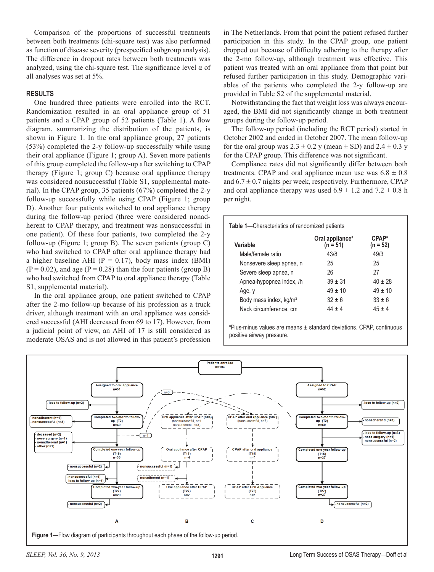Comparison of the proportions of successful treatments between both treatments (chi-square test) was also performed as function of disease severity (prespecified subgroup analysis). The difference in dropout rates between both treatments was analyzed, using the chi-square test. The significance level  $\alpha$  of all analyses was set at 5%.

# **RESULTS**

One hundred three patients were enrolled into the RCT. Randomization resulted in an oral appliance group of 51 patients and a CPAP group of 52 patients (Table 1). A flow diagram, summarizing the distribution of the patients, is shown in Figure 1. In the oral appliance group, 27 patients (53%) completed the 2-y follow-up successfully while using their oral appliance (Figure 1; group A). Seven more patients of this group completed the follow-up after switching to CPAP therapy (Figure 1; group C) because oral appliance therapy was considered nonsuccessful (Table S1, supplemental material). In the CPAP group, 35 patients (67%) completed the 2-y follow-up successfully while using CPAP (Figure 1; group D). Another four patients switched to oral appliance therapy during the follow-up period (three were considered nonadherent to CPAP therapy, and treatment was nonsuccessful in one patient). Of these four patients, two completed the 2-y follow-up (Figure 1; group B). The seven patients (group C) who had switched to CPAP after oral appliance therapy had a higher baseline AHI ( $P = 0.17$ ), body mass index (BMI)  $(P = 0.02)$ , and age  $(P = 0.28)$  than the four patients (group B) who had switched from CPAP to oral appliance therapy (Table S1, supplemental material).

In the oral appliance group, one patient switched to CPAP after the 2-mo follow-up because of his profession as a truck driver, although treatment with an oral appliance was considered successful (AHI decreased from 69 to 17). However, from a judicial point of view, an AHI of 17 is still considered as moderate OSAS and is not allowed in this patient's profession

in The Netherlands. From that point the patient refused further participation in this study. In the CPAP group, one patient dropped out because of difficulty adhering to the therapy after the 2-mo follow-up, although treatment was effective. This patient was treated with an oral appliance from that point but refused further participation in this study. Demographic variables of the patients who completed the 2-y follow-up are provided in Table S2 of the supplemental material.

Notwithstanding the fact that weight loss was always encouraged, the BMI did not significantly change in both treatment groups during the follow-up period.

The follow-up period (including the RCT period) started in October 2002 and ended in October 2007. The mean follow-up for the oral group was  $2.3 \pm 0.2$  y (mean  $\pm$  SD) and  $2.4 \pm 0.3$  y for the CPAP group. This difference was not significant.

Compliance rates did not significantly differ between both treatments. CPAP and oral appliance mean use was  $6.8 \pm 0.8$ and  $6.7 \pm 0.7$  nights per week, respectively. Furthermore, CPAP and oral appliance therapy was used  $6.9 \pm 1.2$  and  $7.2 \pm 0.8$  h per night.

| <b>Table 1—Characteristics of randomized patients</b> |                                           |                                 |
|-------------------------------------------------------|-------------------------------------------|---------------------------------|
| Variable                                              | Oral appliance <sup>a</sup><br>$(n = 51)$ | CPAP <sup>a</sup><br>$(n = 52)$ |
| Male/female ratio                                     | 43/8                                      | 49/3                            |
| Nonsevere sleep apnea, n                              | 25                                        | 25                              |
| Severe sleep apnea, n                                 | 26                                        | 27                              |
| Apnea-hypopnea index, /h                              | $39 \pm 31$                               | $40 \pm 28$                     |
| Age, y                                                | $49 \pm 10$                               | $49 \pm 10$                     |
| Body mass index, $kg/m2$                              | $32 \pm 6$                                | $33 \pm 6$                      |
| Neck circumference, cm                                | $44 + 4$                                  | $45 \pm 4$                      |

a Plus-minus values are means ± standard deviations. CPAP, continuous positive airway pressure.

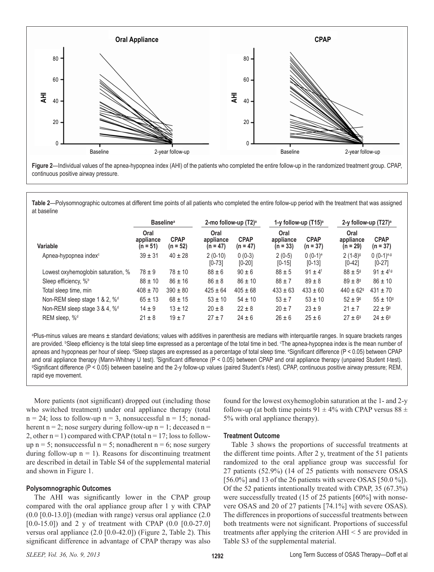

**Figure 2**—Individual values of the apnea-hypopnea index (AHI) of the patients who completed the entire follow-up in the randomized treatment group. CPAP, continuous positive airway pressure.

**Table 2**—Polysomnographic outcomes at different time points of all patients who completed the entire follow-up period with the treatment that was assigned at baseline

|                                           | <b>Baseline</b> <sup>a</sup>    |                           |                                 | 2-mo follow-up $(T2)^a$   | 1-y follow-up $(T15)^a$         |                                   | 2-y follow-up $(T27)^a$         |                            |
|-------------------------------------------|---------------------------------|---------------------------|---------------------------------|---------------------------|---------------------------------|-----------------------------------|---------------------------------|----------------------------|
| Variable                                  | Oral<br>appliance<br>$(n = 51)$ | <b>CPAP</b><br>$(n = 52)$ | Oral<br>appliance<br>$(n = 47)$ | <b>CPAP</b><br>$(n = 47)$ | Oral<br>appliance<br>$(n = 33)$ | <b>CPAP</b><br>$(n = 37)$         | Oral<br>appliance<br>$(n = 29)$ | <b>CPAP</b><br>$(n = 37)$  |
| Apnea-hypopnea index <sup>c</sup>         | $39 \pm 31$                     | $40 \pm 28$               | $2(0-10)$<br>$[0-73]$           | $0(0-3)$<br>$[0-20]$      | $2(0-5)$<br>$[0-15]$            | $0(0-1)$ <sup>e</sup><br>$[0-13]$ | $2(1-8)^{9}$<br>$[0-42]$        | $0(0-1)^{e,g}$<br>$[0-27]$ |
| Lowest oxyhemoglobin saturation, %        | $78 \pm 9$                      | $78 \pm 10$               | $88 \pm 6$                      | $90 \pm 6$                | $88 \pm 5$                      | $91 \pm 4^{\circ}$                | $88 \pm 5^{\circ}$              | $91 + 4^{f,g}$             |
| Sleep efficiency, % <sup>b</sup>          | $88 \pm 10$                     | $86 \pm 16$               | $86 \pm 8$                      | $86 \pm 10$               | $88 \pm 7$                      | $89 \pm 8$                        | $89 \pm 8^{\circ}$              | $86 \pm 10$                |
| Total sleep time, min                     | $408 \pm 70$                    | $390 \pm 80$              | $425 \pm 64$                    | $405 \pm 68$              | $433 \pm 63$                    | $433 \pm 60$                      | $440 \pm 62$ <sup>9</sup>       | $431 \pm 70$               |
| Non-REM sleep stage 1 & 2, % <sup>d</sup> | $65 \pm 13$                     | $68 \pm 15$               | $53 \pm 10$                     | $54 \pm 10$               | $53 + 7$                        | $53 \pm 10$                       | $52 + 99$                       | $55 \pm 10^{\circ}$        |
| Non-REM sleep stage 3 & 4, % <sup>d</sup> | $14 \pm 9$                      | $13 \pm 12$               | $20 \pm 8$                      | $22 \pm 8$                | $20 \pm 7$                      | $23 \pm 9$                        | $21 \pm 7$                      | $22 \pm 9^{\circ}$         |
| REM sleep, % <sup>d</sup>                 | $21 \pm 8$                      | $19 + 7$                  | $27 + 7$                        | $24 \pm 6$                | $26 \pm 6$                      | $25 \pm 6$                        | $27 \pm 6^{\circ}$              | $24 \pm 6^{\circ}$         |

a Plus-minus values are means ± standard deviations; values with additives in parenthesis are medians with interquartile ranges. In square brackets ranges are provided. <sup>b</sup>Sleep efficiency is the total sleep time expressed as a percentage of the total time in bed. <sup>c</sup>The apnea-hypopnea index is the mean number of apneas and hypopneas per hour of sleep. <sup>d</sup>Sleep stages are expressed as a percentage of total sleep time. <sup>e</sup>Significant difference (P < 0.05) between CPAP and oral appliance therapy (Mann-Whitney U test). Significant difference (P < 0.05) between CPAP and oral appliance therapy (unpaired Student *t*-test).<br>Significant difference (P < 0.05) between baseline and the 2-y follow Signifcant difference (P < 0.05) between baseline and the 2-y follow-up values (paired Student's *t*-test). CPAP, continuous positive airway pressure; REM, rapid eye movement.

More patients (not signifcant) dropped out (including those who switched treatment) under oral appliance therapy (total  $n = 24$ ; loss to follow-up  $n = 3$ , nonsuccessful  $n = 15$ ; nonadherent  $n = 2$ ; nose surgery during follow-up  $n = 1$ ; deceased  $n =$ 2, other  $n = 1$ ) compared with CPAP (total  $n = 17$ ; loss to followup  $n = 5$ ; nonsuccessful  $n = 5$ ; nonadherent  $n = 6$ ; nose surgery during follow-up  $n = 1$ ). Reasons for discontinuing treatment are described in detail in Table S4 of the supplemental material and shown in Figure 1.

#### **Polysomnographic Outcomes**

The AHI was signifcantly lower in the CPAP group compared with the oral appliance group after 1 y with CPAP  $(0.0 \, [0.0-13.0])$  (median with range) versus oral appliance  $(2.0 \,$ [0.0-15.0]) and 2 y of treatment with CPAP (0.0 [0.0-27.0] versus oral appliance (2.0 [0.0-42.0]) (Figure 2, Table 2). This signifcant difference in advantage of CPAP therapy was also

**Treatment Outcome** Table 3 shows the proportions of successful treatments at

5% with oral appliance therapy).

the different time points. After 2 y, treatment of the 51 patients randomized to the oral appliance group was successful for 27 patients (52.9%) (14 of 25 patients with nonsevere OSAS [56.0%] and 13 of the 26 patients with severe OSAS [50.0 %]). Of the 52 patients intentionally treated with CPAP, 35 (67.3%) were successfully treated (15 of 25 patients [60%] with nonsevere OSAS and 20 of 27 patients [74.1%] with severe OSAS). The differences in proportions of successful treatments between both treatments were not signifcant. Proportions of successful treatments after applying the criterion AHI < 5 are provided in Table S3 of the supplemental material.

found for the lowest oxyhemoglobin saturation at the 1- and 2-y follow-up (at both time points  $91 \pm 4\%$  with CPAP versus  $88 \pm 1$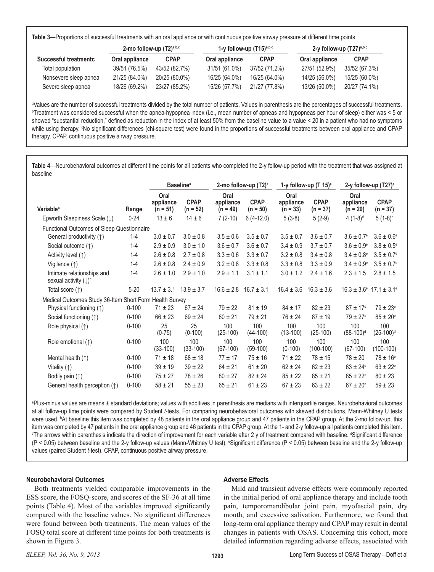**Table 3**—Proportions of successful treatments with an oral appliance or with continuous positive airway pressure at different time points

|                       |                | 2-mo follow-up (T2)a,b,c |                | 2-y follow-up $(T27)^{a,b,c}$<br>1-y follow-up $(T15)^{a,b,c}$ |                |               |
|-----------------------|----------------|--------------------------|----------------|----------------------------------------------------------------|----------------|---------------|
| Successful treatmentc | Oral appliance | <b>CPAP</b>              | Oral appliance | <b>CPAP</b>                                                    | Oral appliance | <b>CPAP</b>   |
| Total population      | 39/51 (76.5%)  | 43/52 (82.7%)            | 31/51 (61.0%)  | 37/52 (71.2%)                                                  | 27/51 (52.9%)  | 35/52 (67.3%) |
| Nonsevere sleep apnea | 21/25 (84.0%)  | 20/25 (80.0%)            | 16/25 (64.0%)  | 16/25 (64.0%)                                                  | 14/25 (56.0%)  | 15/25 (60.0%) |
| Severe sleep apnea    | 18/26 (69.2%)  | 23/27 (85.2%)            | 15/26 (57.7%)  | 21/27 (77.8%)                                                  | 13/26 (50.0%)  | 20/27 (74.1%) |

a Values are the number of successful treatments divided by the total number of patients. Values in parenthesis are the percentages of successful treatments. b Treatment was considered successful when the apnea-hypopnea index (i.e., mean number of apneas and hypopneas per hour of sleep) either was < 5 or showed "substantial reduction," defned as reduction in the index of at least 50% from the baseline value to a value < 20 in a patient who had no symptoms while using therapy. <sup>c</sup>No significant differences (chi-square test) were found in the proportions of successful treatments between oral appliance and CPAP therapy. CPAP, continuous positive airway pressure.

**Table 4**—Neurobehavioral outcomes at different time points for all patients who completed the 2-y follow-up period with the treatment that was assigned at baseline

|                                                         |           |                                 | <b>Baseline</b> <sup>a</sup> |                                 | 2-mo follow-up $(T2)^a$   |                                 | 1-y follow-up (T 15) <sup>a</sup> |                                               | 2-y follow-up (T27) <sup>a</sup> |
|---------------------------------------------------------|-----------|---------------------------------|------------------------------|---------------------------------|---------------------------|---------------------------------|-----------------------------------|-----------------------------------------------|----------------------------------|
| Variable <sup>c</sup>                                   | Range     | Oral<br>appliance<br>$(n = 51)$ | <b>CPAP</b><br>$(n = 52)$    | Oral<br>appliance<br>$(n = 49)$ | <b>CPAP</b><br>$(n = 50)$ | Oral<br>appliance<br>$(n = 33)$ | <b>CPAP</b><br>$(n = 37)$         | Oral<br>appliance<br>$(n = 29)$               | <b>CPAP</b><br>$(n = 37)$        |
| Epworth Sleepiness Scale (1)                            | $0 - 24$  | $13 \pm 6$                      | $14 \pm 6$                   | $7(2-10)$                       | $6(4-12.0)$               | $5(3-8)$                        | $5(2-9)$                          | $4(1-8)$ <sup>d</sup>                         | $5(1-8)$ <sup>d</sup>            |
| <b>Functional Outcomes of Sleep Questionnaire</b>       |           |                                 |                              |                                 |                           |                                 |                                   |                                               |                                  |
| General productivity (1)                                | $1 - 4$   | $3.0 \pm 0.7$                   | $3.0 \pm 0.8$                | $3.5 \pm 0.6$                   | $3.5 \pm 0.7$             | $3.5 \pm 0.7$                   | $3.6 \pm 0.7$                     | $3.6 \pm 0.7$ <sup>e</sup>                    | $3.6 \pm 0.6^{\circ}$            |
| Social outcome (1)                                      | $1 - 4$   | $2.9 \pm 0.9$                   | $3.0 \pm 1.0$                | $3.6 \pm 0.7$                   | $3.6 \pm 0.7$             | $3.4 \pm 0.9$                   | $3.7 \pm 0.7$                     | $3.6 \pm 0.9^{\circ}$                         | $3.8 \pm 0.5^{\circ}$            |
| Activity level $($ $\uparrow$ $)$                       | $1 - 4$   | $2.6 \pm 0.8$                   | $2.7 \pm 0.8$                | $3.3 \pm 0.6$                   | $3.3 \pm 0.7$             | $3.2 \pm 0.8$                   | $3.4 \pm 0.8$                     | $3.4 \pm 0.8^{\circ}$                         | $3.5 \pm 0.7^{\circ}$            |
| Vigilance (1)                                           | $1 - 4$   | $2.6 \pm 0.8$                   | $2.4 \pm 0.9$                | $3.2 \pm 0.8$                   | $3.3 \pm 0.8$             | $3.3 \pm 0.8$                   | $3.3 \pm 0.9$                     | $3.4 \pm 0.9^{\circ}$                         | $3.5 \pm 0.7^{\circ}$            |
| Intimate relationships and<br>sexual activity $(1)^b$   | $1 - 4$   | $2.6 \pm 1.0$                   | $2.9 \pm 1.0$                | $2.9 \pm 1.1$                   | $3.1 \pm 1.1$             | $3.0 \pm 1.2$                   | $2.4 \pm 1.6$                     | $2.3 \pm 1.5$                                 | $2.8 \pm 1.5$                    |
| Total score (1)                                         | $5 - 20$  | $13.7 \pm 3.1$                  | $13.9 \pm 3.7$               | $16.6 \pm 2.8$                  | $16.7 \pm 3.1$            | $16.4 \pm 3.6$                  | $16.3 \pm 3.6$                    | $16.3 \pm 3.6^{\circ}$ 17.1 $\pm 3.1^{\circ}$ |                                  |
| Medical Outcomes Study 36-Item Short Form Health Survey |           |                                 |                              |                                 |                           |                                 |                                   |                                               |                                  |
| Physical functioning (1)                                | $0 - 100$ | $71 \pm 23$                     | $67 \pm 24$                  | $79 \pm 22$                     | $81 \pm 19$               | $84 \pm 17$                     | $82 \pm 23$                       | $87 \pm 17^{\circ}$                           | $79 \pm 23^{\circ}$              |
| Social functioning (1)                                  | $0 - 100$ | $66 \pm 23$                     | $69 \pm 24$                  | $80 \pm 21$                     | $79 \pm 21$               | $76 \pm 24$                     | $87 + 19$                         | $79 \pm 27^{\circ}$                           | $85 \pm 20^{\circ}$              |
| Role physical $($ $\uparrow$ $)$                        | $0 - 100$ | 25<br>$(0-75)$                  | 25<br>$(0-100)$              | 100<br>$(25-100)$               | 100<br>$(44-100)$         | 100<br>$(13-100)$               | 100<br>$(25-100)$                 | 100<br>$(88-100)^d$                           | 100<br>$(25-100)^d$              |
| Role emotional $(†)$                                    | $0 - 100$ | 100<br>$(33-100)$               | 100<br>$(33-100)$            | 100<br>$(67-100)$               | 100<br>$(59-100)$         | 100<br>$(0-100)$                | 100<br>$(100-100)$                | 100<br>$(67-100)$                             | 100<br>$(100-100)$               |
| Mental health $(†)$                                     | $0 - 100$ | $71 \pm 18$                     | $68 \pm 18$                  | $77 \pm 17$                     | $75 \pm 16$               | $71 \pm 22$                     | $78 \pm 15$                       | $78 \pm 20$                                   | $78 \pm 16^{\circ}$              |
| Vitality $($ $\uparrow$ )                               | $0 - 100$ | $39 \pm 19$                     | $39 \pm 22$                  | $64 \pm 21$                     | $61 \pm 20$               | $62 \pm 24$                     | $62 \pm 23$                       | $63 \pm 24^{\circ}$                           | $63 \pm 22^{\circ}$              |
| Bodily pain $(†)$                                       | $0 - 100$ | $75 \pm 27$                     | $78 \pm 26$                  | $80 \pm 27$                     | $82 \pm 24$               | $85 \pm 22$                     | $85 \pm 21$                       | $85 \pm 22^{\circ}$                           | $80 \pm 23$                      |
| General health perception (1)                           | $0 - 100$ | $58 \pm 21$                     | $55 \pm 23$                  | $65 \pm 21$                     | $61 \pm 23$               | $67 \pm 23$                     | $63 \pm 22$                       | $67 \pm 20^{\circ}$                           | $59 \pm 23$                      |

a Plus-minus values are means ± standard deviations; values with additives in parenthesis are medians with interquartile ranges. Neurobehavioral outcomes at all follow-up time points were compared by Student *t*-tests. For comparing neurobehavioral outcomes with skewed distributions, Mann-Whitney U tests were used. <sup>b</sup>At baseline this item was completed by 48 patients in the oral appliance group and 47 patients in the CPAP group. At the 2-mo follow-up, this item was completed by 47 patients in the oral appliance group and 46 patients in the CPAP group. At the 1- and 2-y follow-up all patients completed this item. The arrows within parenthesis indicate the direction of improvement for each variable after 2 y of treatment compared with baseline. <sup>«</sup>Significant difference (P < 0.05) between baseline and the 2-y follow-up values (Mann-Whitney U test). e Signifcant difference (P < 0.05) between baseline and the 2-y follow-up values (paired Student *t*-test). CPAP, continuous positive airway pressure.

# **Neurobehavioral Outcomes**

Both treatments yielded comparable improvements in the ESS score, the FOSQ-score, and scores of the SF-36 at all time points (Table 4). Most of the variables improved signifcantly compared with the baseline values. No signifcant differences were found between both treatments. The mean values of the FOSQ total score at different time points for both treatments is shown in Figure 3.

### **Adverse Effects**

Mild and transient adverse effects were commonly reported in the initial period of oral appliance therapy and include tooth pain, temporomandibular joint pain, myofascial pain, dry mouth, and excessive salivation. Furthermore, we found that long-term oral appliance therapy and CPAP may result in dental changes in patients with OSAS. Concerning this cohort, more detailed information regarding adverse effects, associated with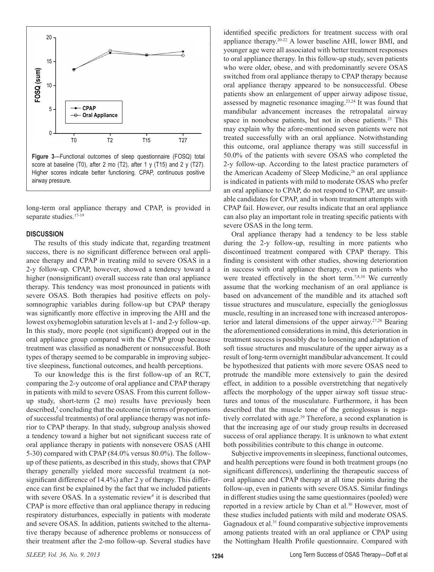

score at baseline (T0), after 2 mo (T2), after 1 y (T15) and 2 y (T27). Higher scores indicate better functioning. CPAP, continuous positive airway pressure.

long-term oral appliance therapy and CPAP, is provided in separate studies.<sup>17-19</sup>

### **DISCUSSION**

The results of this study indicate that, regarding treatment success, there is no signifcant difference between oral appliance therapy and CPAP in treating mild to severe OSAS in a 2-y follow-up. CPAP, however, showed a tendency toward a higher (nonsignifcant) overall success rate than oral appliance therapy. This tendency was most pronounced in patients with severe OSAS. Both therapies had positive effects on polysomnographic variables during follow-up but CPAP therapy was signifcantly more effective in improving the AHI and the lowest oxyhemoglobin saturation levels at 1- and 2-y follow-up. In this study, more people (not signifcant) dropped out in the oral appliance group compared with the CPAP group because treatment was classifed as nonadherent or nonsuccessful. Both types of therapy seemed to be comparable in improving subjective sleepiness, functional outcomes, and health perceptions.

To our knowledge this is the frst follow-up of an RCT, comparing the 2-y outcome of oral appliance and CPAP therapy in patients with mild to severe OSAS. From this current followup study, short-term (2 mo) results have previously been described,<sup>5</sup> concluding that the outcome (in terms of proportions of successful treatments) of oral appliance therapy was not inferior to CPAP therapy. In that study, subgroup analysis showed a tendency toward a higher but not signifcant success rate of oral appliance therapy in patients with nonsevere OSAS (AHI 5-30) compared with CPAP (84.0% versus 80.0%). The followup of these patients, as described in this study, shows that CPAP therapy generally yielded more successful treatment (a notsignifcant difference of 14.4%) after 2 y of therapy. This difference can frst be explained by the fact that we included patients with severe OSAS. In a systematic review<sup>4</sup> it is described that CPAP is more effective than oral appliance therapy in reducing respiratory disturbances, especially in patients with moderate and severe OSAS. In addition, patients switched to the alternative therapy because of adherence problems or nonsuccess of their treatment after the 2-mo follow-up. Several studies have

identifed specifc predictors for treatment success with oral appliance therapy.20-22 A lower baseline AHI, lower BMI, and younger age were all associated with better treatment responses to oral appliance therapy. In this follow-up study, seven patients who were older, obese, and with predominantly severe OSAS switched from oral appliance therapy to CPAP therapy because oral appliance therapy appeared to be nonsuccessful. Obese patients show an enlargement of upper airway adipose tissue, assessed by magnetic resonance imaging.23,24 It was found that mandibular advancement increases the retropalatal airway space in nonobese patients, but not in obese patients.<sup>25</sup> This may explain why the afore-mentioned seven patients were not treated successfully with an oral appliance. Notwithstanding this outcome, oral appliance therapy was still successful in 50.0% of the patients with severe OSAS who completed the 2-y follow-up. According to the latest practice parameters of the American Academy of Sleep Medicine,<sup>26</sup> an oral appliance is indicated in patients with mild to moderate OSAS who prefer an oral appliance to CPAP, do not respond to CPAP, are unsuitable candidates for CPAP, and in whom treatment attempts with CPAP fail. However, our results indicate that an oral appliance can also play an important role in treating specifc patients with severe OSAS in the long term.

Oral appliance therapy had a tendency to be less stable during the 2-y follow-up, resulting in more patients who discontinued treatment compared with CPAP therapy. This fnding is consistent with other studies, showing deterioration in success with oral appliance therapy, even in patients who were treated effectively in the short term.<sup>7,8,10</sup> We currently assume that the working mechanism of an oral appliance is based on advancement of the mandible and its attached soft tissue structures and musculature, especially the genioglossus muscle, resulting in an increased tone with increased anteroposterior and lateral dimensions of the upper airway.27,28 Bearing the aforementioned considerations in mind, this deterioration in treatment success is possibly due to loosening and adaptation of soft tissue structures and musculature of the upper airway as a result of long-term overnight mandibular advancement. It could be hypothesized that patients with more severe OSAS need to protrude the mandible more extensively to gain the desired effect, in addition to a possible overstretching that negatively affects the morphology of the upper airway soft tissue structures and tonus of the musculature. Furthermore, it has been described that the muscle tone of the genioglossus is negatively correlated with age.<sup>29</sup> Therefore, a second explanation is that the increasing age of our study group results in decreased success of oral appliance therapy. It is unknown to what extent both possibilities contribute to this change in outcome.

Subjective improvements in sleepiness, functional outcomes, and health perceptions were found in both treatment groups (no signifcant differences), underlining the therapeutic success of oral appliance and CPAP therapy at all time points during the follow-up, even in patients with severe OSAS. Similar fndings in different studies using the same questionnaires (pooled) were reported in a review article by Chan et al.<sup>30</sup> However, most of these studies included patients with mild and moderate OSAS. Gagnadoux et al.<sup>31</sup> found comparative subjective improvements among patients treated with an oral appliance or CPAP using the Nottingham Health Profle questionnaire. Compared with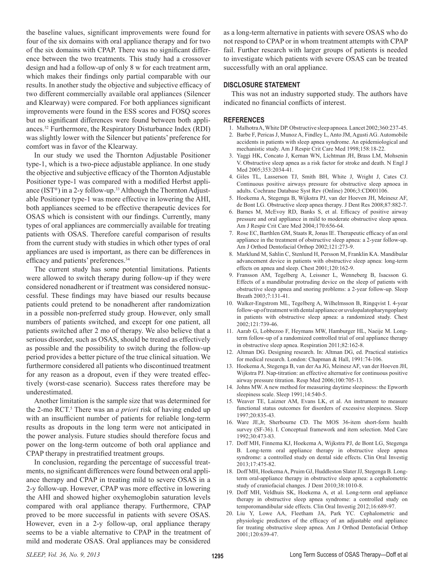the baseline values, signifcant improvements were found for four of the six domains with oral appliance therapy and for two of the six domains with CPAP. There was no signifcant difference between the two treatments. This study had a crossover design and had a follow-up of only 8 w for each treatment arm, which makes their fndings only partial comparable with our results. In another study the objective and subjective effcacy of two different commercially available oral appliances (Silencer and Klearway) were compared. For both appliances signifcant improvements were found in the ESS scores and FOSQ scores but no signifcant differences were found between both appliances.32 Furthermore, the Respiratory Disturbance Index (RDI) was slightly lower with the Silencer but patients' preference for comfort was in favor of the Klearway.

In our study we used the Thornton Adjustable Positioner type-1, which is a two-piece adjustable appliance. In one study the objective and subjective effcacy of the Thornton Adjustable Positioner type-1 was compared with a modifed Herbst appliance (IST<sup>®</sup>) in a 2-y follow-up.<sup>33</sup> Although the Thornton Adjustable Positioner type-1 was more effective in lowering the AHI, both appliances seemed to be effective therapeutic devices for OSAS which is consistent with our fndings. Currently, many types of oral appliances are commercially available for treating patients with OSAS. Therefore careful comparison of results from the current study with studies in which other types of oral appliances are used is important, as there can be differences in efficacy and patients' preferences.<sup>34</sup>

The current study has some potential limitations. Patients were allowed to switch therapy during follow-up if they were considered nonadherent or if treatment was considered nonsuccessful. These fndings may have biased our results because patients could pretend to be nonadherent after randomization in a possible non-preferred study group. However, only small numbers of patients switched, and except for one patient, all patients switched after 2 mo of therapy. We also believe that a serious disorder, such as OSAS, should be treated as effectively as possible and the possibility to switch during the follow-up period provides a better picture of the true clinical situation. We furthermore considered all patients who discontinued treatment for any reason as a dropout, even if they were treated effectively (worst-case scenario). Success rates therefore may be underestimated.

Another limitation is the sample size that was determined for the 2-mo RCT.<sup>5</sup> There was an *a priori* risk of having ended up with an insufficient number of patients for reliable long-term results as dropouts in the long term were not anticipated in the power analysis. Future studies should therefore focus and power on the long-term outcome of both oral appliance and CPAP therapy in prestratifed treatment groups.

In conclusion, regarding the percentage of successful treatments, no signifcant differences were found between oral appliance therapy and CPAP in treating mild to severe OSAS in a 2-y follow-up. However, CPAP was more effective in lowering the AHI and showed higher oxyhemoglobin saturation levels compared with oral appliance therapy. Furthermore, CPAP proved to be more successful in patients with severe OSAS. However, even in a 2-y follow-up, oral appliance therapy seems to be a viable alternative to CPAP in the treatment of mild and moderate OSAS. Oral appliances may be considered

as a long-term alternative in patients with severe OSAS who do not respond to CPAP or in whom treatment attempts with CPAP fail. Further research with larger groups of patients is needed to investigate which patients with severe OSAS can be treated successfully with an oral appliance.

# **DISCLOSURE STATEMENT**

This was not an industry supported study. The authors have indicated no fnancial conficts of interest.

### **REFERENCES**

- 1. Malhotra A, White DP. Obstructive sleep apnoea. Lancet 2002;360:237-45.
- 2. Barbe F, Pericas J, Munoz A, Findley L, Anto JM, Agusti AG. Automobile accidents in patients with sleep apnea syndrome. An epidemiological and mechanistic study. Am J Respir Crit Care Med 1998;158:18-22.
- 3. Yaggi HK, Concato J, Kernan WN, Lichtman JH, Brass LM, Mohsenin V. Obstructive sleep apnea as a risk factor for stroke and death. N Engl J Med 2005;353:2034-41.
- 4. Giles TL, Lasserson TJ, Smith BH, White J, Wright J, Cates CJ. Continuous positive airways pressure for obstructive sleep apnoea in adults. Cochrane Database Syst Rev (Online) 2006;3:CD001106.
- 5. Hoekema A, Stegenga B, Wijkstra PJ, van der Hoeven JH, Meinesz AF, de Bont LG. Obstructive sleep apnea therapy. J Dent Res 2008;87:882-7.
- 6. Barnes M, McEvoy RD, Banks S, et al. Effcacy of positive airway pressure and oral appliance in mild to moderate obstructive sleep apnea. Am J Respir Crit Care Med 2004;170:656-64.
- 7. Rose EC, Barthlen GM, Staats R, Jonas IE. Therapeutic efficacy of an oral appliance in the treatment of obstructive sleep apnea: a 2-year follow-up. Am J Orthod Dentofacial Orthop 2002;121:273-9.
- 8. Marklund M, Sahlin C, Stenlund H, Persson M, Franklin KA. Mandibular advancement device in patients with obstructive sleep apnea: long-term effects on apnea and sleep. Chest 2001;120:162-9.
- 9. Fransson AM, Tegelberg A, Leissner L, Wenneberg B, Isacsson G. Effects of a mandibular protruding device on the sleep of patients with obstructive sleep apnea and snoring problems: a 2-year follow-up. Sleep Breath 2003;7:131-41.
- 10. Walker-Engstrom ML, Tegelberg A, Wilhelmsson B, Ringqvist I. 4-year follow-up of treatment with dental appliance or uvulopalatopharyngoplasty in patients with obstructive sleep apnea: a randomized study. Chest 2002;121:739-46.
- 11. Aarab G, Lobbezoo F, Heymans MW, Hamburger HL, Naeije M. Longterm follow-up of a randomized controlled trial of oral appliance therapy in obstructive sleep apnea. Respiration 2011;82:162-8.
- 12. Altman DG. Designing research. In: Altman DG, ed. Practical statistics for medical research. London: Chapman & Hall, 1991:74-106.
- 13. Hoekema A, Stegenga B, van der Aa JG, Meinesz AF, van der Hoeven JH, Wijkstra PJ. Nap-titration: an effective alternative for continuous positive airway pressure titration. Resp Med 2006;100:705-13.
- 14. Johns MW. A new method for measuring daytime sleepiness: the Epworth sleepiness scale. Sleep 1991;14:540-5.
- 15. Weaver TE, Laizner AM, Evans LK, et al. An instrument to measure functional status outcomes for disorders of excessive sleepiness. Sleep 1997;20:835-43.
- 16. Ware JE,Jr, Sherbourne CD. The MOS 36-item short-form health survey (SF-36). I. Conceptual framework and item selection. Med Care 1992;30:473-83.
- 17. Doff MH, Finnema KJ, Hoekema A, Wijkstra PJ, de Bont LG, Stegenga B. Long-term oral appliance therapy in obstructive sleep apnea syndrome: a controlled study on dental side effects. Clin Oral Investig 2013;17:475-82.
- 18. Doff MH, Hoekema A, Pruim GJ, Huddleston Slater JJ, Stegenga B. Longterm oral-appliance therapy in obstructive sleep apnea: a cephalometric study of craniofacial changes. J Dent 2010;38:1010-8.
- 19. Doff MH, Veldhuis SK, Hoekema A, et al. Long-term oral appliance therapy in obstructive sleep apnea syndrome: a controlled study on temporomandibular side effects. Clin Oral Investig 2012;16:689-97.
- 20. Liu Y, Lowe AA, Fleetham JA, Park YC. Cephalometric and physiologic predictors of the effcacy of an adjustable oral appliance for treating obstructive sleep apnea. Am J Orthod Dentofacial Orthop 2001;120:639-47.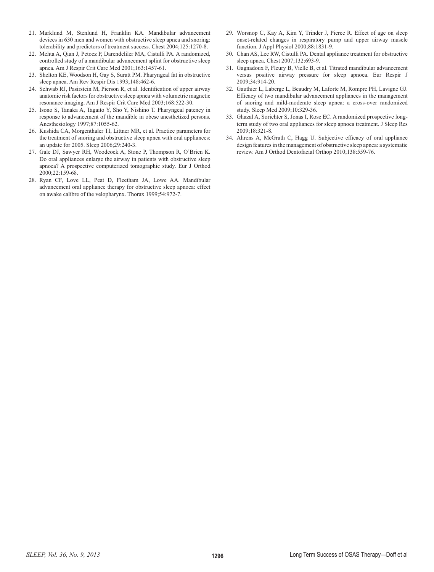- 21. Marklund M, Stenlund H, Franklin KA. Mandibular advancement devices in 630 men and women with obstructive sleep apnea and snoring: tolerability and predictors of treatment success. Chest 2004;125:1270-8.
- 22. Mehta A, Qian J, Petocz P, Darendeliler MA, Cistulli PA. A randomized, controlled study of a mandibular advancement splint for obstructive sleep apnea. Am J Respir Crit Care Med 2001;163:1457-61.
- 23. Shelton KE, Woodson H, Gay S, Suratt PM. Pharyngeal fat in obstructive sleep apnea. Am Rev Respir Dis 1993;148:462-6.
- 24. Schwab RJ, Pasirstein M, Pierson R, et al. Identifcation of upper airway anatomic risk factors for obstructive sleep apnea with volumetric magnetic resonance imaging. Am J Respir Crit Care Med 2003;168:522-30.
- 25. Isono S, Tanaka A, Tagaito Y, Sho Y, Nishino T. Pharyngeal patency in response to advancement of the mandible in obese anesthetized persons. Anesthesiology 1997;87:1055-62.
- 26. Kushida CA, Morgenthaler TI, Littner MR, et al. Practice parameters for the treatment of snoring and obstructive sleep apnea with oral appliances: an update for 2005. Sleep 2006;29:240-3.
- 27. Gale DJ, Sawyer RH, Woodcock A, Stone P, Thompson R, O'Brien K. Do oral appliances enlarge the airway in patients with obstructive sleep apnoea? A prospective computerized tomographic study. Eur J Orthod 2000;22:159-68.
- 28. Ryan CF, Love LL, Peat D, Fleetham JA, Lowe AA. Mandibular advancement oral appliance therapy for obstructive sleep apnoea: effect on awake calibre of the velopharynx. Thorax 1999;54:972-7.
- 29. Worsnop C, Kay A, Kim Y, Trinder J, Pierce R. Effect of age on sleep onset-related changes in respiratory pump and upper airway muscle function. J Appl Physiol 2000;88:1831-9.
- 30. Chan AS, Lee RW, Cistulli PA. Dental appliance treatment for obstructive sleep apnea. Chest 2007;132:693-9.
- 31. Gagnadoux F, Fleury B, Vielle B, et al. Titrated mandibular advancement versus positive airway pressure for sleep apnoea. Eur Respir J 2009;34:914-20.
- 32. Gauthier L, Laberge L, Beaudry M, Laforte M, Rompre PH, Lavigne GJ. Effcacy of two mandibular advancement appliances in the management of snoring and mild-moderate sleep apnea: a cross-over randomized study. Sleep Med 2009;10:329-36.
- 33. Ghazal A, Sorichter S, Jonas I, Rose EC. A randomized prospective longterm study of two oral appliances for sleep apnoea treatment. J Sleep Res 2009;18:321-8.
- 34. Ahrens A, McGrath C, Hagg U. Subjective effcacy of oral appliance design features in the management of obstructive sleep apnea: a systematic review. Am J Orthod Dentofacial Orthop 2010;138:559-76.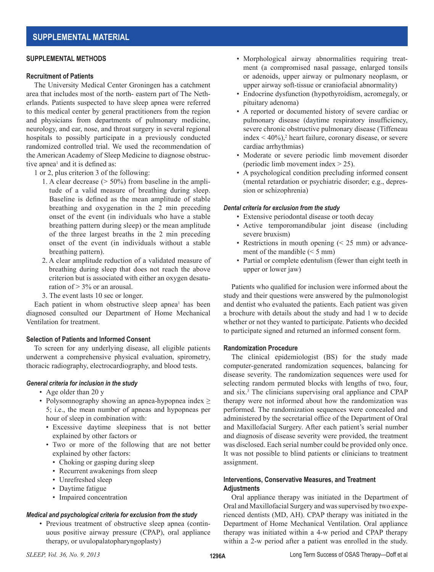# **SUPPLEMENTAL METHODS**

# **Recruitment of Patients**

The University Medical Center Groningen has a catchment area that includes most of the north- eastern part of The Netherlands. Patients suspected to have sleep apnea were referred to this medical center by general practitioners from the region and physicians from departments of pulmonary medicine, neurology, and ear, nose, and throat surgery in several regional hospitals to possibly participate in a previously conducted randomized controlled trial. We used the recommendation of the American Academy of Sleep Medicine to diagnose obstructive apnea<sup>1</sup> and it is defined as:

1 or 2, plus criterion 3 of the following:

- 1. A clear decrease  $(> 50\%)$  from baseline in the amplitude of a valid measure of breathing during sleep. Baseline is defned as the mean amplitude of stable breathing and oxygenation in the 2 min preceding onset of the event (in individuals who have a stable breathing pattern during sleep) or the mean amplitude of the three largest breaths in the 2 min preceding onset of the event (in individuals without a stable breathing pattern).
- 2. A clear amplitude reduction of a validated measure of breathing during sleep that does not reach the above criterion but is associated with either an oxygen desaturation of  $> 3\%$  or an arousal.
- 3. The event lasts 10 sec or longer.

Each patient in whom obstructive sleep apnea<sup>1</sup> has been diagnosed consulted our Department of Home Mechanical Ventilation for treatment.

# **Selection of Patients and Informed Consent**

To screen for any underlying disease, all eligible patients underwent a comprehensive physical evaluation, spirometry, thoracic radiography, electrocardiography, and blood tests.

# *General criteria for inclusion in the study*

- Age older than 20 y
- Polysomnography showing an apnea-hypopnea index  $\geq$ 5; i.e., the mean number of apneas and hypopneas per hour of sleep in combination with:
	- Excessive daytime sleepiness that is not better explained by other factors or
	- Two or more of the following that are not better explained by other factors:
		- Choking or gasping during sleep
		- Recurrent awakenings from sleep
		- Unrefreshed sleep
		- Daytime fatigue
		- Impaired concentration

# *Medical and psychological criteria for exclusion from the study*

• Previous treatment of obstructive sleep apnea (continuous positive airway pressure (CPAP), oral appliance therapy, or uvulopalatopharyngoplasty)

- Morphological airway abnormalities requiring treatment (a compromised nasal passage, enlarged tonsils or adenoids, upper airway or pulmonary neoplasm, or upper airway soft-tissue or craniofacial abnormality)
- Endocrine dysfunction (hypothyroidism, acromegaly, or pituitary adenoma)
- A reported or documented history of severe cardiac or pulmonary disease (daytime respiratory insufficiency, severe chronic obstructive pulmonary disease (Tiffeneau  $index < 40\%$ ,<sup>2</sup> heart failure, coronary disease, or severe cardiac arrhythmias)
- Moderate or severe periodic limb movement disorder (periodic limb movement index  $> 25$ ).
- A psychological condition precluding informed consent (mental retardation or psychiatric disorder; e.g., depression or schizophrenia)

# *Dental criteria for exclusion from the study*

- Extensive periodontal disease or tooth decay
- Active temporomandibular joint disease (including severe bruxism)
- Restrictions in mouth opening (< 25 mm) or advancement of the mandible  $(< 5$  mm)
- Partial or complete edentulism (fewer than eight teeth in upper or lower jaw)

Patients who qualifed for inclusion were informed about the study and their questions were answered by the pulmonologist and dentist who evaluated the patients. Each patient was given a brochure with details about the study and had 1 w to decide whether or not they wanted to participate. Patients who decided to participate signed and returned an informed consent form.

# **Randomization Procedure**

The clinical epidemiologist (BS) for the study made computer-generated randomization sequences, balancing for disease severity. The randomization sequences were used for selecting random permuted blocks with lengths of two, four, and six.3 The clinicians supervising oral appliance and CPAP therapy were not informed about how the randomization was performed. The randomization sequences were concealed and administered by the secretarial office of the Department of Oral and Maxillofacial Surgery. After each patient's serial number and diagnosis of disease severity were provided, the treatment was disclosed. Each serial number could be provided only once. It was not possible to blind patients or clinicians to treatment assignment.

# **Interventions, Conservative Measures, and Treatment Adjustments**

Oral appliance therapy was initiated in the Department of Oral and Maxillofacial Surgery and was supervised by two experienced dentists (MD, AH). CPAP therapy was initiated in the Department of Home Mechanical Ventilation. Oral appliance therapy was initiated within a 4-w period and CPAP therapy within a 2-w period after a patient was enrolled in the study.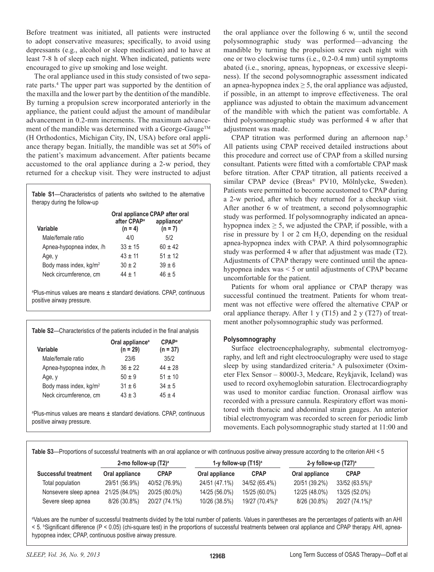Before treatment was initiated, all patients were instructed to adopt conservative measures; specifcally, to avoid using depressants (e.g., alcohol or sleep medication) and to have at least 7-8 h of sleep each night. When indicated, patients were encouraged to give up smoking and lose weight.

The oral appliance used in this study consisted of two separate parts.<sup>4</sup> The upper part was supported by the dentition of the maxilla and the lower part by the dentition of the mandible. By turning a propulsion screw incorporated anteriorly in the appliance, the patient could adjust the amount of mandibular advancement in 0.2-mm increments. The maximum advancement of the mandible was determined with a George-Gauge<sup>TM</sup> (H Orthodontics, Michigan City, IN, USA) before oral appliance therapy began. Initially, the mandible was set at 50% of the patient's maximum advancement. After patients became accustomed to the oral appliance during a 2-w period, they returned for a checkup visit. They were instructed to adjust

**Table S1**—Characteristics of patients who switched to the alternative therapy during the follow-up

| Variable                           | after CPAP <sup>a</sup><br>$(n = 4)$ | Oral appliance CPAP after oral<br>appliance <sup>a</sup><br>$(n = 7)$ |
|------------------------------------|--------------------------------------|-----------------------------------------------------------------------|
| Male/female ratio                  | 4/0                                  | 5/2                                                                   |
| Apnea-hypopnea index, /h           | $33 \pm 15$                          | $60 + 42$                                                             |
| Age, y                             | $43 + 11$                            | $51 + 12$                                                             |
| Body mass index, kg/m <sup>2</sup> | $30 \pm 2$                           | $39 \pm 6$                                                            |
| Neck circumference, cm             | $44 + 1$                             | $46 + 5$                                                              |

a Plus-minus values are means ± standard deviations. CPAP, continuous positive airway pressure.

| Variable                           | Oral appliance <sup>a</sup><br>$(n = 29)$ | <b>CPAP</b> <sup>a</sup><br>$(n = 37)$ |
|------------------------------------|-------------------------------------------|----------------------------------------|
| Male/female ratio                  | 23/6                                      | 35/2                                   |
| Apnea-hypopnea index, /h           | $36 \pm 22$                               | $44 \pm 28$                            |
| Age, y                             | $50 \pm 9$                                | $51 \pm 10$                            |
| Body mass index, kg/m <sup>2</sup> | $31 \pm 6$                                | $34 \pm 5$                             |
| Neck circumference, cm             | $43 \pm 3$                                | $45 \pm 4$                             |

a Plus-minus values are means ± standard deviations. CPAP, continuous positive airway pressure.

the oral appliance over the following 6 w, until the second polysomnographic study was performed—advancing the mandible by turning the propulsion screw each night with one or two clockwise turns (i.e., 0.2-0.4 mm) until symptoms abated (i.e., snoring, apneas, hypopneas, or excessive sleepiness). If the second polysomnographic assessment indicated an apnea-hypopnea index  $\geq 5$ , the oral appliance was adjusted, if possible, in an attempt to improve effectiveness. The oral appliance was adjusted to obtain the maximum advancement of the mandible with which the patient was comfortable. A third polysomnographic study was performed 4 w after that adjustment was made.

CPAP titration was performed during an afternoon nap.<sup>5</sup> All patients using CPAP received detailed instructions about this procedure and correct use of CPAP from a skilled nursing consultant. Patients were ftted with a comfortable CPAP mask before titration. After CPAP titration, all patients received a similar CPAP device (Breas® PV10, Mölnlycke, Sweden). Patients were permitted to become accustomed to CPAP during a 2-w period, after which they returned for a checkup visit. After another 6 w of treatment, a second polysomnographic study was performed. If polysomnography indicated an apneahypopnea index  $\geq 5$ , we adjusted the CPAP, if possible, with a rise in pressure by 1 or 2 cm  $H<sub>2</sub>O$ , depending on the residual apnea-hypopnea index with CPAP. A third polysomnographic study was performed 4 w after that adjustment was made (T2). Adjustments of CPAP therapy were continued until the apneahypopnea index was < 5 or until adjustments of CPAP became uncomfortable for the patient.

Patients for whom oral appliance or CPAP therapy was successful continued the treatment. Patients for whom treatment was not effective were offered the alternative CPAP or oral appliance therapy. After 1 y (T15) and 2 y (T27) of treatment another polysomnographic study was performed.

# **Polysomnography**

Surface electroencephalography, submental electromyography, and left and right electrooculography were used to stage sleep by using standardized criteria.<sup>6</sup> A pulsoximeter (Oximeter Flex Sensor – 8000J-3, Medcare, Reykjavik, Iceland) was used to record oxyhemoglobin saturation. Electrocardiography was used to monitor cardiac function. Oronasal airfow was recorded with a pressure cannula. Respiratory effort was monitored with thoracic and abdominal strain gauges. An anterior tibial electromyogram was recorded to screen for periodic limb movements. Each polysomnographic study started at 11:00 and

**Table S3**—Proportions of successful treatments with an oral appliance or with continuous positive airway pressure according to the criterion AHI < 5

|                             | 2-mo follow-up $(T2)^a$ |               | 1-y follow-up (T15) <sup>a</sup> |                            |                | 2-y follow-up $(T27)^a$    |  |  |
|-----------------------------|-------------------------|---------------|----------------------------------|----------------------------|----------------|----------------------------|--|--|
| <b>Successful treatment</b> | Oral appliance          | <b>CPAP</b>   | Oral appliance                   | <b>CPAP</b>                | Oral appliance | <b>CPAP</b>                |  |  |
| Total population            | 29/51 (56.9%)           | 40/52 (76.9%) | 24/51 (47.1%)                    | 34/52 (65.4%)              | 20/51 (39.2%)  | $33/52(63.5\%)$            |  |  |
| Nonsevere sleep apnea       | 21/25 (84.0%)           | 20/25 (80.0%) | 14/25 (56.0%)                    | 15/25 (60.0%)              | 12/25 (48.0%)  | 13/25 (52.0%)              |  |  |
| Severe sleep apnea          | 8/26 (30.8%)            | 20/27 (74.1%) | 10/26 (38.5%)                    | 19/27 (70.4%) <sup>b</sup> | 8/26 (30.8%)   | 20/27 (74.1%) <sup>b</sup> |  |  |

a Values are the number of successful treatments divided by the total number of patients. Values in parentheses are the percentages of patients with an AHI < 5. b Signifcant difference (P < 0.05) (chi-square test) in the proportions of successful treatments between oral appliance and CPAP therapy. AHI, apneahypopnea index; CPAP, continuous positive airway pressure.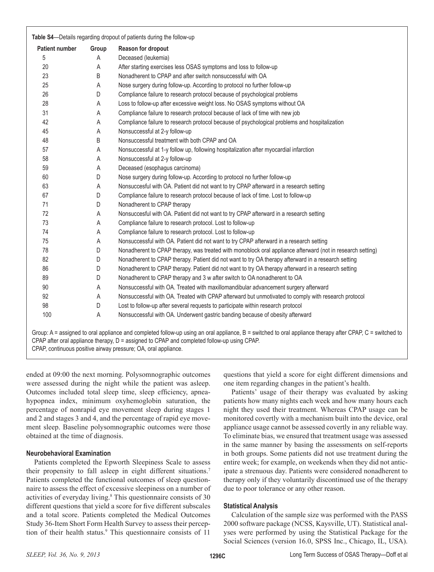| <b>Patient number</b> | Group | Reason for dropout                                                                                         |
|-----------------------|-------|------------------------------------------------------------------------------------------------------------|
| 5                     | Α     | Deceased (leukemia)                                                                                        |
| 20                    | A     | After starting exercises less OSAS symptoms and loss to follow-up                                          |
| 23                    | B     | Nonadherent to CPAP and after switch nonsuccessful with OA                                                 |
| 25                    | Α     | Nose surgery during follow-up. According to protocol no further follow-up                                  |
| 26                    | D     | Compliance failure to research protocol because of psychological problems                                  |
| 28                    | Α     | Loss to follow-up after excessive weight loss. No OSAS symptoms without OA                                 |
| 31                    | Α     | Compliance failure to research protocol because of lack of time with new job                               |
| 42                    | A     | Compliance failure to research protocol because of psychological problems and hospitalization              |
| 45                    | A     | Nonsuccessful at 2-y follow-up                                                                             |
| 48                    | B     | Nonsuccessful treatment with both CPAP and OA                                                              |
| 57                    | Α     | Nonsuccessful at 1-y follow up, following hospitalization after myocardial infarction                      |
| 58                    | Α     | Nonsuccessful at 2-y follow-up                                                                             |
| 59                    | Α     | Deceased (esophagus carcinoma)                                                                             |
| 60                    | D     | Nose surgery during follow-up. According to protocol no further follow-up                                  |
| 63                    | A     | Nonsuccesful with OA. Patient did not want to try CPAP afterward in a research setting                     |
| 67                    | D     | Compliance failure to research protocol because of lack of time. Lost to follow-up                         |
| 71                    | D     | Nonadherent to CPAP therapy                                                                                |
| 72                    | Α     | Nonsuccesful with OA. Patient did not want to try CPAP afterward in a research setting                     |
| 73                    | Α     | Compliance failure to research protocol. Lost to follow-up                                                 |
| 74                    | A     | Compliance failure to research protocol. Lost to follow-up                                                 |
| 75                    | A     | Nonsuccessful with OA. Patient did not want to try CPAP afterward in a research setting                    |
| 78                    | D     | Nonadherent to CPAP therapy, was treated with monoblock oral appliance afterward (not in research setting) |
| 82                    | D     | Nonadherent to CPAP therapy. Patient did not want to try OA therapy afterward in a research setting        |
| 86                    | D     | Nonadherent to CPAP therapy. Patient did not want to try OA therapy afterward in a research setting        |
| 89                    | D     | Nonadherent to CPAP therapy and 3 w after switch to OA nonadherent to OA                                   |
| 90                    | Α     | Nonsuccessful with OA. Treated with maxillomandibular advancement surgery afterward                        |
| 92                    | A     | Nonsuccessful with OA. Treated with CPAP afterward but unmotivated to comply with research protocol        |
| 98                    | D     | Lost to follow-up after several requests to participate within research protocol                           |
| 100                   | Α     | Nonsuccessful with OA. Underwent gastric banding because of obesity afterward                              |

CPAP, continuous positive airway pressure; OA, oral appliance.

ended at 09:00 the next morning. Polysomnographic outcomes were assessed during the night while the patient was asleep. Outcomes included total sleep time, sleep efficiency, apneahypopnea index, minimum oxyhemoglobin saturation, the percentage of nonrapid eye movement sleep during stages 1 and 2 and stages 3 and 4, and the percentage of rapid eye movement sleep. Baseline polysomnographic outcomes were those obtained at the time of diagnosis.

# **Neurobehavioral Examination**

Patients completed the Epworth Sleepiness Scale to assess their propensity to fall asleep in eight different situations.<sup>7</sup> Patients completed the functional outcomes of sleep questionnaire to assess the effect of excessive sleepiness on a number of activities of everyday living.<sup>8</sup> This questionnaire consists of 30 different questions that yield a score for fve different subscales and a total score. Patients completed the Medical Outcomes Study 36-Item Short Form Health Survey to assess their perception of their health status.<sup>9</sup> This questionnaire consists of 11

questions that yield a score for eight different dimensions and one item regarding changes in the patient's health.

Patients' usage of their therapy was evaluated by asking patients how many nights each week and how many hours each night they used their treatment. Whereas CPAP usage can be monitored covertly with a mechanism built into the device, oral appliance usage cannot be assessed covertly in any reliable way. To eliminate bias, we ensured that treatment usage was assessed in the same manner by basing the assessments on self-reports in both groups. Some patients did not use treatment during the entire week; for example, on weekends when they did not anticipate a strenuous day. Patients were considered nonadherent to therapy only if they voluntarily discontinued use of the therapy due to poor tolerance or any other reason.

# **Statistical Analysis**

Calculation of the sample size was performed with the PASS 2000 software package (NCSS, Kaysville, UT). Statistical analyses were performed by using the Statistical Package for the Social Sciences (version 16.0, SPSS Inc., Chicago, IL, USA).